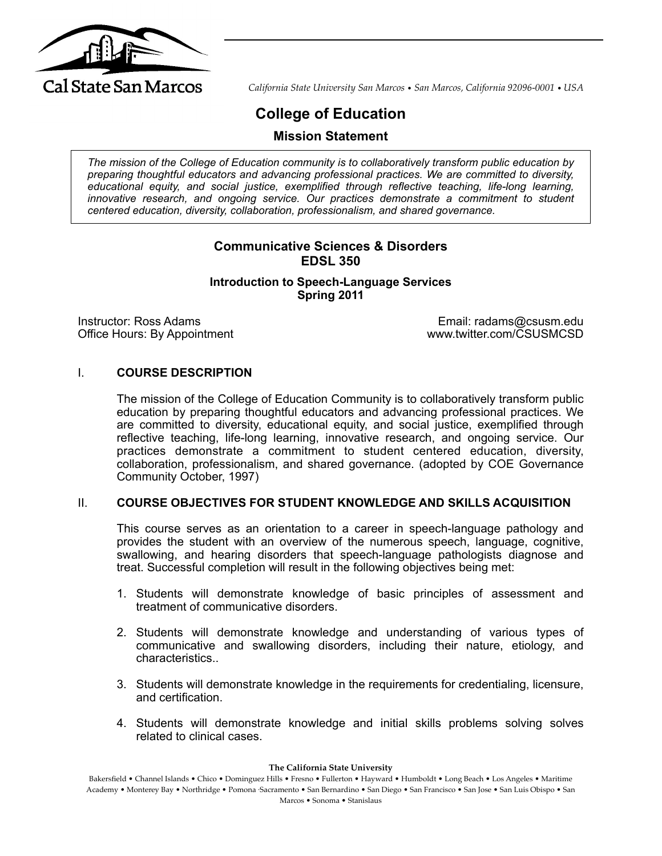

*California State University San Marcos* • *San Marcos, California 92096-0001* • *USA*

# **College of Education**

**Mission Statement**

*The mission of the College of Education community is to collaboratively transform public education by preparing thoughtful educators and advancing professional practices. We are committed to diversity, educational equity, and social justice, exemplified through reflective teaching, life-long learning, innovative research, and ongoing service. Our practices demonstrate a commitment to student centered education, diversity, collaboration, professionalism, and shared governance.*

# **Communicative Sciences & Disorders EDSL 350**

**Introduction to Speech-Language Services Spring 2011**

Instructor: Ross Adams<br>
Office Hours: By Appointment<br>
Office Hours: By Appointment<br>
Office Hours: By Appointment Office Hours: By Appointment

#### I. **COURSE DESCRIPTION**

The mission of the College of Education Community is to collaboratively transform public education by preparing thoughtful educators and advancing professional practices. We are committed to diversity, educational equity, and social justice, exemplified through reflective teaching, life-long learning, innovative research, and ongoing service. Our practices demonstrate a commitment to student centered education, diversity, collaboration, professionalism, and shared governance. (adopted by COE Governance Community October, 1997)

#### II. **COURSE OBJECTIVES FOR STUDENT KNOWLEDGE AND SKILLS ACQUISITION**

This course serves as an orientation to a career in speech-language pathology and provides the student with an overview of the numerous speech, language, cognitive, swallowing, and hearing disorders that speech-language pathologists diagnose and treat. Successful completion will result in the following objectives being met:

- 1. Students will demonstrate knowledge of basic principles of assessment and treatment of communicative disorders.
- 2. Students will demonstrate knowledge and understanding of various types of communicative and swallowing disorders, including their nature, etiology, and characteristics..
- 3. Students will demonstrate knowledge in the requirements for credentialing, licensure, and certification.
- 4. Students will demonstrate knowledge and initial skills problems solving solves related to clinical cases.

**The California State University**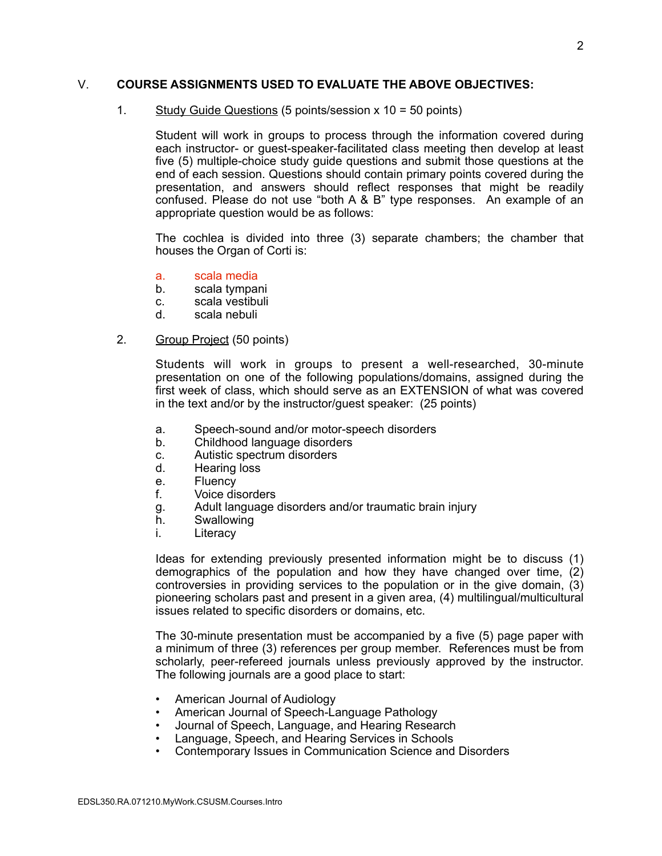#### V. **COURSE ASSIGNMENTS USED TO EVALUATE THE ABOVE OBJECTIVES:**

#### 1. Study Guide Questions (5 points/session x 10 = 50 points)

Student will work in groups to process through the information covered during each instructor- or guest-speaker-facilitated class meeting then develop at least five (5) multiple-choice study guide questions and submit those questions at the end of each session. Questions should contain primary points covered during the presentation, and answers should reflect responses that might be readily confused. Please do not use "both A & B" type responses. An example of an appropriate question would be as follows:

The cochlea is divided into three (3) separate chambers; the chamber that houses the Organ of Corti is:

- a. scala media
- b. scala tympani
- c. scala vestibuli<br>d scala nebuli
- scala nebuli

#### 2. Group Project (50 points)

Students will work in groups to present a well-researched, 30-minute presentation on one of the following populations/domains, assigned during the first week of class, which should serve as an EXTENSION of what was covered in the text and/or by the instructor/guest speaker: (25 points)

- a. Speech-sound and/or motor-speech disorders
- b. Childhood language disorders
- c. Autistic spectrum disorders
- d. Hearing loss
- e. Fluency
- f. Voice disorders
- g. Adult language disorders and/or traumatic brain injury
- h. Swallowing
- i. Literacy

Ideas for extending previously presented information might be to discuss (1) demographics of the population and how they have changed over time, (2) controversies in providing services to the population or in the give domain, (3) pioneering scholars past and present in a given area, (4) multilingual/multicultural issues related to specific disorders or domains, etc.

The 30-minute presentation must be accompanied by a five (5) page paper with a minimum of three (3) references per group member. References must be from scholarly, peer-refereed journals unless previously approved by the instructor. The following journals are a good place to start:

- American Journal of Audiology
- American Journal of Speech-Language Pathology
- Journal of Speech, Language, and Hearing Research
- Language, Speech, and Hearing Services in Schools
- Contemporary Issues in Communication Science and Disorders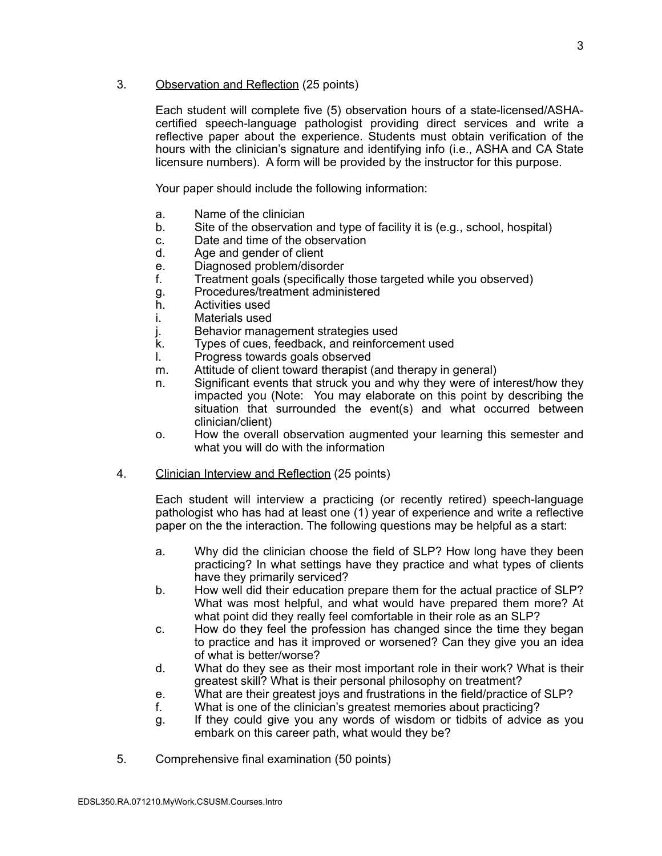#### 3. Observation and Reflection (25 points)

Each student will complete five (5) observation hours of a state-licensed/ASHAcertified speech-language pathologist providing direct services and write a reflective paper about the experience. Students must obtain verification of the hours with the clinician's signature and identifying info (i.e., ASHA and CA State licensure numbers). A form will be provided by the instructor for this purpose.

Your paper should include the following information:

- a. Name of the clinician
- b. Site of the observation and type of facility it is (e.g., school, hospital)
- c. Date and time of the observation
- d. Age and gender of client
- e. Diagnosed problem/disorder<br>f. Treatment goals (specifically
- f. Treatment goals (specifically those targeted while you observed)
- g. Procedures/treatment administered
- h. Activities used
- i. Materials used
- j. Behavior management strategies used
- k. Types of cues, feedback, and reinforcement used
- l. Progress towards goals observed
- m. Attitude of client toward therapist (and therapy in general)
- n. Significant events that struck you and why they were of interest/how they impacted you (Note: You may elaborate on this point by describing the situation that surrounded the event(s) and what occurred between clinician/client)
- o. How the overall observation augmented your learning this semester and what you will do with the information
- 4. Clinician Interview and Reflection (25 points)

Each student will interview a practicing (or recently retired) speech-language pathologist who has had at least one (1) year of experience and write a reflective paper on the the interaction. The following questions may be helpful as a start:

- a. Why did the clinician choose the field of SLP? How long have they been practicing? In what settings have they practice and what types of clients have they primarily serviced?
- b. How well did their education prepare them for the actual practice of SLP? What was most helpful, and what would have prepared them more? At what point did they really feel comfortable in their role as an SLP?
- c. How do they feel the profession has changed since the time they began to practice and has it improved or worsened? Can they give you an idea of what is better/worse?
- d. What do they see as their most important role in their work? What is their greatest skill? What is their personal philosophy on treatment?
- e. What are their greatest joys and frustrations in the field/practice of SLP?<br>f. What is one of the clinician's greatest memories about practicing?
- What is one of the clinician's greatest memories about practicing?
- g. If they could give you any words of wisdom or tidbits of advice as you embark on this career path, what would they be?
- 5. Comprehensive final examination (50 points)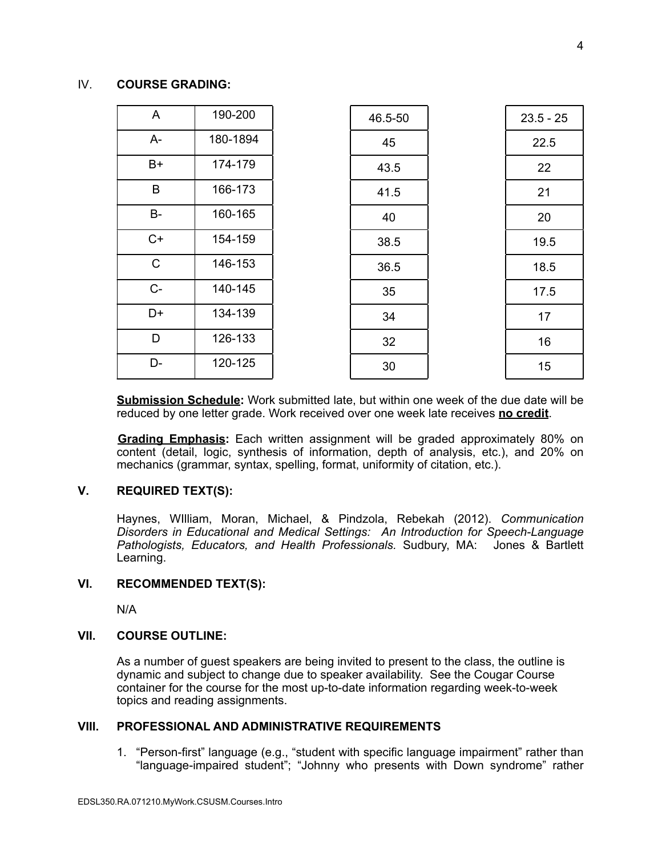#### IV. **COURSE GRADING:**

| A            | 190-200  | 46.5-50 | $23.5 - 25$ |
|--------------|----------|---------|-------------|
| A-           | 180-1894 | 45      | 22.5        |
| $B+$         | 174-179  | 43.5    | 22          |
| B            | 166-173  | 41.5    | 21          |
| B-           | 160-165  | 40      | 20          |
| $C+$         | 154-159  | 38.5    | 19.5        |
| $\mathsf{C}$ | 146-153  | 36.5    | 18.5        |
| $C-$         | 140-145  | 35      | 17.5        |
| D+           | 134-139  | 34      | 17          |
| D            | 126-133  | 32      | 16          |
| D-           | 120-125  | 30      | 15          |

**Submission Schedule:** Work submitted late, but within one week of the due date will be reduced by one letter grade. Work received over one week late receives **no credit**.

**Grading Emphasis:** Each written assignment will be graded approximately 80% on content (detail, logic, synthesis of information, depth of analysis, etc.), and 20% on mechanics (grammar, syntax, spelling, format, uniformity of citation, etc.).

#### **V. REQUIRED TEXT(S):**

Haynes, WIlliam, Moran, Michael, & Pindzola, Rebekah (2012). *Communication Disorders in Educational and Medical Settings: An Introduction for Speech-Language Pathologists, Educators, and Health Professionals.* Sudbury, MA: Jones & Bartlett Learning.

#### **VI. RECOMMENDED TEXT(S):**

N/A

#### **VII. COURSE OUTLINE:**

As a number of guest speakers are being invited to present to the class, the outline is dynamic and subject to change due to speaker availability. See the Cougar Course container for the course for the most up-to-date information regarding week-to-week topics and reading assignments.

#### **VIII. PROFESSIONAL AND ADMINISTRATIVE REQUIREMENTS**

1. "Person-first" language (e.g., "student with specific language impairment" rather than "language-impaired student"; "Johnny who presents with Down syndrome" rather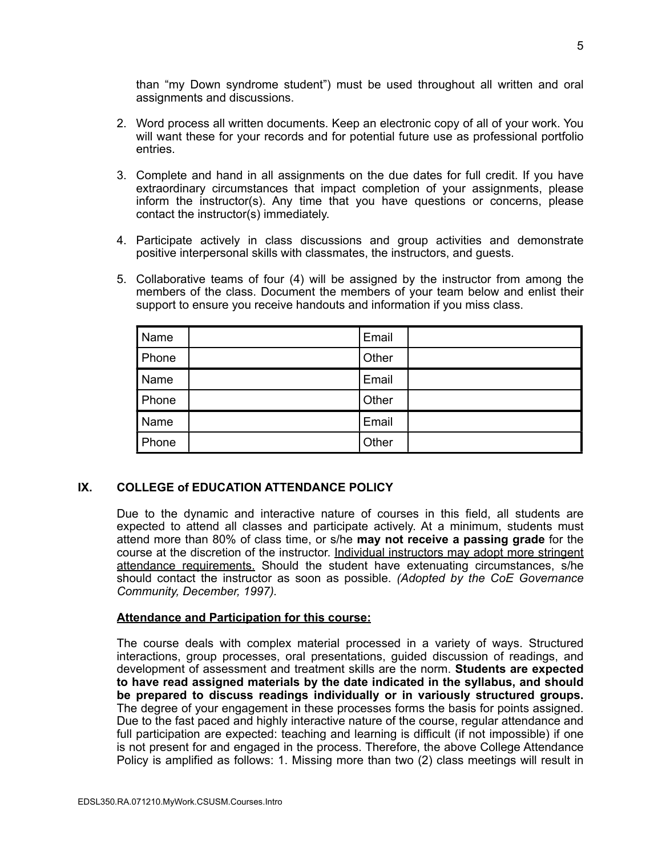than "my Down syndrome student") must be used throughout all written and oral assignments and discussions.

- 2. Word process all written documents. Keep an electronic copy of all of your work. You will want these for your records and for potential future use as professional portfolio entries.
- 3. Complete and hand in all assignments on the due dates for full credit. If you have extraordinary circumstances that impact completion of your assignments, please inform the instructor(s). Any time that you have questions or concerns, please contact the instructor(s) immediately.
- 4. Participate actively in class discussions and group activities and demonstrate positive interpersonal skills with classmates, the instructors, and guests.
- 5. Collaborative teams of four (4) will be assigned by the instructor from among the members of the class. Document the members of your team below and enlist their support to ensure you receive handouts and information if you miss class.

| Name  | Email |  |
|-------|-------|--|
| Phone | Other |  |
| Name  | Email |  |
| Phone | Other |  |
| Name  | Email |  |
| Phone | Other |  |

## **IX. COLLEGE of EDUCATION ATTENDANCE POLICY**

Due to the dynamic and interactive nature of courses in this field, all students are expected to attend all classes and participate actively. At a minimum, students must attend more than 80% of class time, or s/he **may not receive a passing grade** for the course at the discretion of the instructor. Individual instructors may adopt more stringent attendance requirements. Should the student have extenuating circumstances, s/he should contact the instructor as soon as possible. *(Adopted by the CoE Governance Community, December, 1997).*

#### **Attendance and Participation for this course:**

The course deals with complex material processed in a variety of ways. Structured interactions, group processes, oral presentations, guided discussion of readings, and development of assessment and treatment skills are the norm. **Students are expected to have read assigned materials by the date indicated in the syllabus, and should be prepared to discuss readings individually or in variously structured groups.** The degree of your engagement in these processes forms the basis for points assigned. Due to the fast paced and highly interactive nature of the course, regular attendance and full participation are expected: teaching and learning is difficult (if not impossible) if one is not present for and engaged in the process. Therefore, the above College Attendance Policy is amplified as follows: 1. Missing more than two (2) class meetings will result in